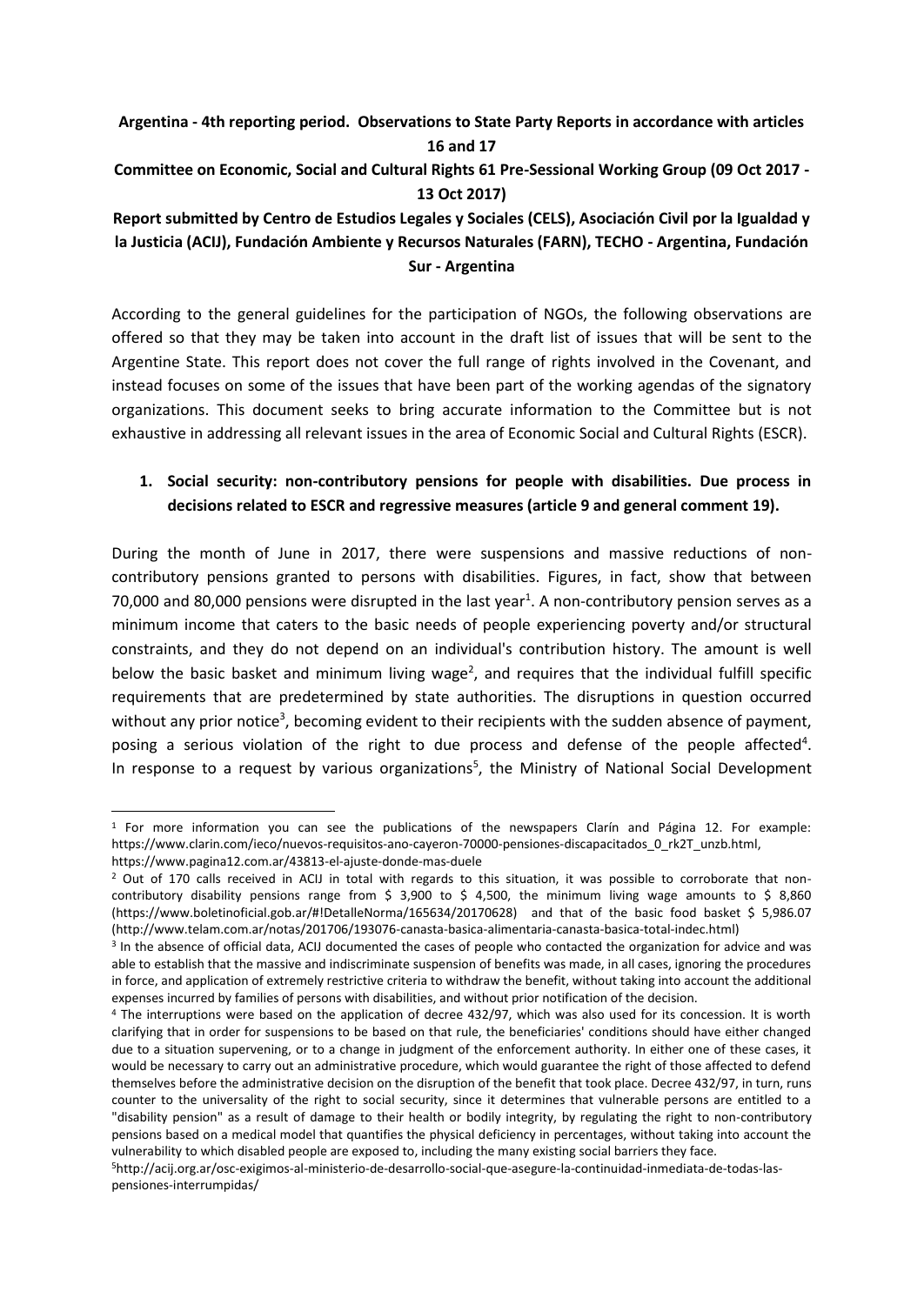**Argentina - 4th reporting period. Observations to State Party Reports in accordance with articles 16 and 17 Committee on Economic, Social and Cultural Rights 61 Pre-Sessional Working Group (09 Oct 2017 - 13 Oct 2017)**

**Report submitted by Centro de Estudios Legales y Sociales (CELS), Asociación Civil por la Igualdad y la Justicia (ACIJ), Fundación Ambiente y Recursos Naturales (FARN), TECHO - Argentina, Fundación Sur - Argentina**

According to the general guidelines for the participation of NGOs, the following observations are offered so that they may be taken into account in the draft list of issues that will be sent to the Argentine State. This report does not cover the full range of rights involved in the Covenant, and instead focuses on some of the issues that have been part of the working agendas of the signatory organizations. This document seeks to bring accurate information to the Committee but is not exhaustive in addressing all relevant issues in the area of Economic Social and Cultural Rights (ESCR).

# **1. Social security: non-contributory pensions for people with disabilities. Due process in decisions related to ESCR and regressive measures (article 9 and general comment 19).**

During the month of June in 2017, there were suspensions and massive reductions of noncontributory pensions granted to persons with disabilities. Figures, in fact, show that between 70,000 and 80,000 pensions were disrupted in the last year<sup>1</sup>. A non-contributory pension serves as a minimum income that caters to the basic needs of people experiencing poverty and/or structural constraints, and they do not depend on an individual's contribution history. The amount is well below the basic basket and minimum living wage<sup>2</sup>, and requires that the individual fulfill specific requirements that are predetermined by state authorities. The disruptions in question occurred without any prior notice<sup>3</sup>, becoming evident to their recipients with the sudden absence of payment, posing a serious violation of the right to due process and defense of the people affected<sup>4</sup>. In response to a request by various organizations<sup>5</sup>, the Ministry of National Social Development

-

 $1$  For more information you can see the publications of the newspapers Clarín and Página 12. For example: [https://www.clarin.com/ieco/nuevos-requisitos-ano-cayeron-70000-pensiones-discapacitados\\_0\\_rk2T\\_unzb.html,](https://www.clarin.com/ieco/nuevos-requisitos-ano-cayeron-70000-pensiones-discapacitados_0_rk2T_unzb.html)  <https://www.pagina12.com.ar/43813-el-ajuste-donde-mas-duele>

<sup>&</sup>lt;sup>2</sup> Out of 170 calls received in ACIJ in total with regards to this situation, it was possible to corroborate that noncontributory disability pensions range from  $\frac{2}{3}$  3,900 to  $\frac{2}{3}$  4,500, the minimum living wage amounts to  $\frac{2}{3}$  8,860 [\(https://www.boletinoficial.gob.ar/#!DetalleNorma/165634/20170628\)](https://www.boletinoficial.gob.ar/#!DetalleNorma/165634/20170628) and that of the basic food basket \$ 5,986.07 [\(http://www.telam.com.ar/notas/201706/193076-canasta-basica-alimentaria-canasta-basica-total-indec.html\)](http://www.telam.com.ar/notas/201706/193076-canasta-basica-alimentaria-canasta-basica-total-indec.html)

<sup>3</sup> In the absence of official data, ACIJ documented the cases of people who contacted the organization for advice and was able to establish that the massive and indiscriminate suspension of benefits was made, in all cases, ignoring the procedures in force, and application of extremely restrictive criteria to withdraw the benefit, without taking into account the additional expenses incurred by families of persons with disabilities, and without prior notification of the decision.

<sup>4</sup> The interruptions were based on the application of decree 432/97, which was also used for its concession. It is worth clarifying that in order for suspensions to be based on that rule, the beneficiaries' conditions should have either changed due to a situation supervening, or to a change in judgment of the enforcement authority. In either one of these cases, it would be necessary to carry out an administrative procedure, which would guarantee the right of those affected to defend themselves before the administrative decision on the disruption of the benefit that took place. Decree 432/97, in turn, runs counter to the universality of the right to social security, since it determines that vulnerable persons are entitled to a "disability pension" as a result of damage to their health or bodily integrity, by regulating the right to non-contributory pensions based on a medical model that quantifies the physical deficiency in percentages, without taking into account the vulnerability to which disabled people are exposed to, including the many existing social barriers they face.

<sup>5</sup>http://acij.org.ar/osc-exigimos-al-ministerio-de-desarrollo-social-que-asegure-la-continuidad-inmediata-de-todas-laspensiones-interrumpidas/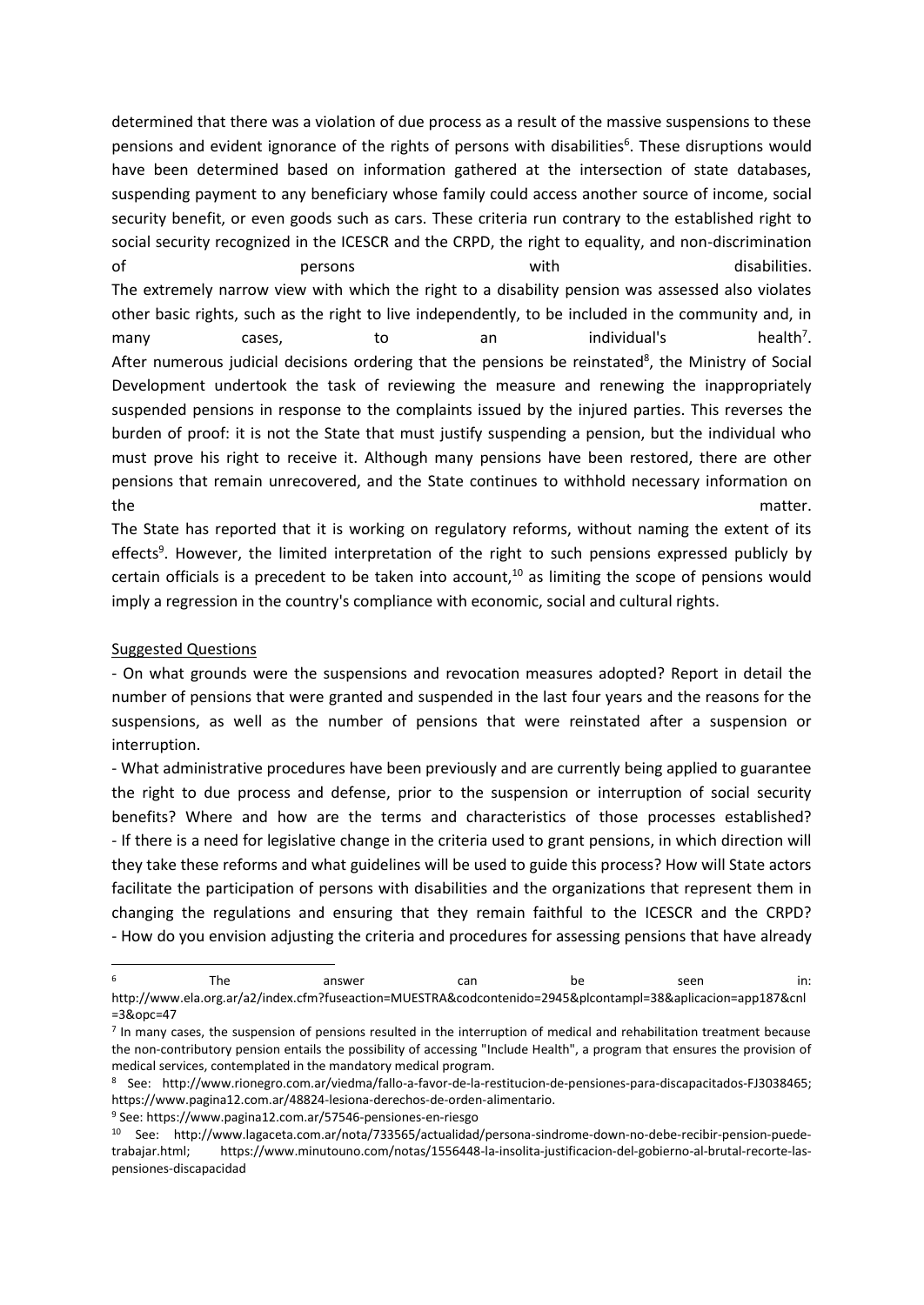determined that there was a violation of due process as a result of the massive suspensions to these pensions and evident ignorance of the rights of persons with disabilities<sup>6</sup>. These disruptions would have been determined based on information gathered at the intersection of state databases, suspending payment to any beneficiary whose family could access another source of income, social security benefit, or even goods such as cars. These criteria run contrary to the established right to social security recognized in the ICESCR and the CRPD, the right to equality, and non-discrimination of the persons term of the beam of the persons with the disabilities. The extremely narrow view with which the right to a disability pension was assessed also violates other basic rights, such as the right to live independently, to be included in the community and, in many  $cases,$  to an individual's health<sup>7</sup> health<sup>7</sup>. After numerous judicial decisions ordering that the pensions be reinstated<sup>8</sup>, the Ministry of Social Development undertook the task of reviewing the measure and renewing the inappropriately suspended pensions in response to the complaints issued by the injured parties. This reverses the burden of proof: it is not the State that must justify suspending a pension, but the individual who must prove his right to receive it. Although many pensions have been restored, there are other pensions that remain unrecovered, and the State continues to withhold necessary information on the matter.

The State has reported that it is working on regulatory reforms, without naming the extent of its effects<sup>9</sup>. However, the limited interpretation of the right to such pensions expressed publicly by certain officials is a precedent to be taken into account,<sup>10</sup> as limiting the scope of pensions would imply a regression in the country's compliance with economic, social and cultural rights.

#### Suggested Questions

-

- On what grounds were the suspensions and revocation measures adopted? Report in detail the number of pensions that were granted and suspended in the last four years and the reasons for the suspensions, as well as the number of pensions that were reinstated after a suspension or interruption.

- What administrative procedures have been previously and are currently being applied to guarantee the right to due process and defense, prior to the suspension or interruption of social security benefits? Where and how are the terms and characteristics of those processes established? - If there is a need for legislative change in the criteria used to grant pensions, in which direction will they take these reforms and what guidelines will be used to guide this process? How will State actors facilitate the participation of persons with disabilities and the organizations that represent them in changing the regulations and ensuring that they remain faithful to the ICESCR and the CRPD? - How do you envision adjusting the criteria and procedures for assessing pensions that have already

<sup>9</sup> See: https://www.pagina12.com.ar/57546-pensiones-en-riesgo

<sup>&</sup>lt;sup>6</sup> The answer can be seen in: http://www.ela.org.ar/a2/index.cfm?fuseaction=MUESTRA&codcontenido=2945&plcontampl=38&aplicacion=app187&cnl =3&opc=47

<sup>7</sup> In many cases, the suspension of pensions resulted in the interruption of medical and rehabilitation treatment because the non-contributory pension entails the possibility of accessing "Include Health", a program that ensures the provision of medical services, contemplated in the mandatory medical program.

<sup>8</sup> See: http://www.rionegro.com.ar/viedma/fallo-a-favor-de-la-restitucion-de-pensiones-para-discapacitados-FJ3038465; https://www.pagina12.com.ar/48824-lesiona-derechos-de-orden-alimentario.

<sup>10</sup> See: http://www.lagaceta.com.ar/nota/733565/actualidad/persona-sindrome-down-no-debe-recibir-pension-puedetrabajar.html; https://www.minutouno.com/notas/1556448-la-insolita-justificacion-del-gobierno-al-brutal-recorte-laspensiones-discapacidad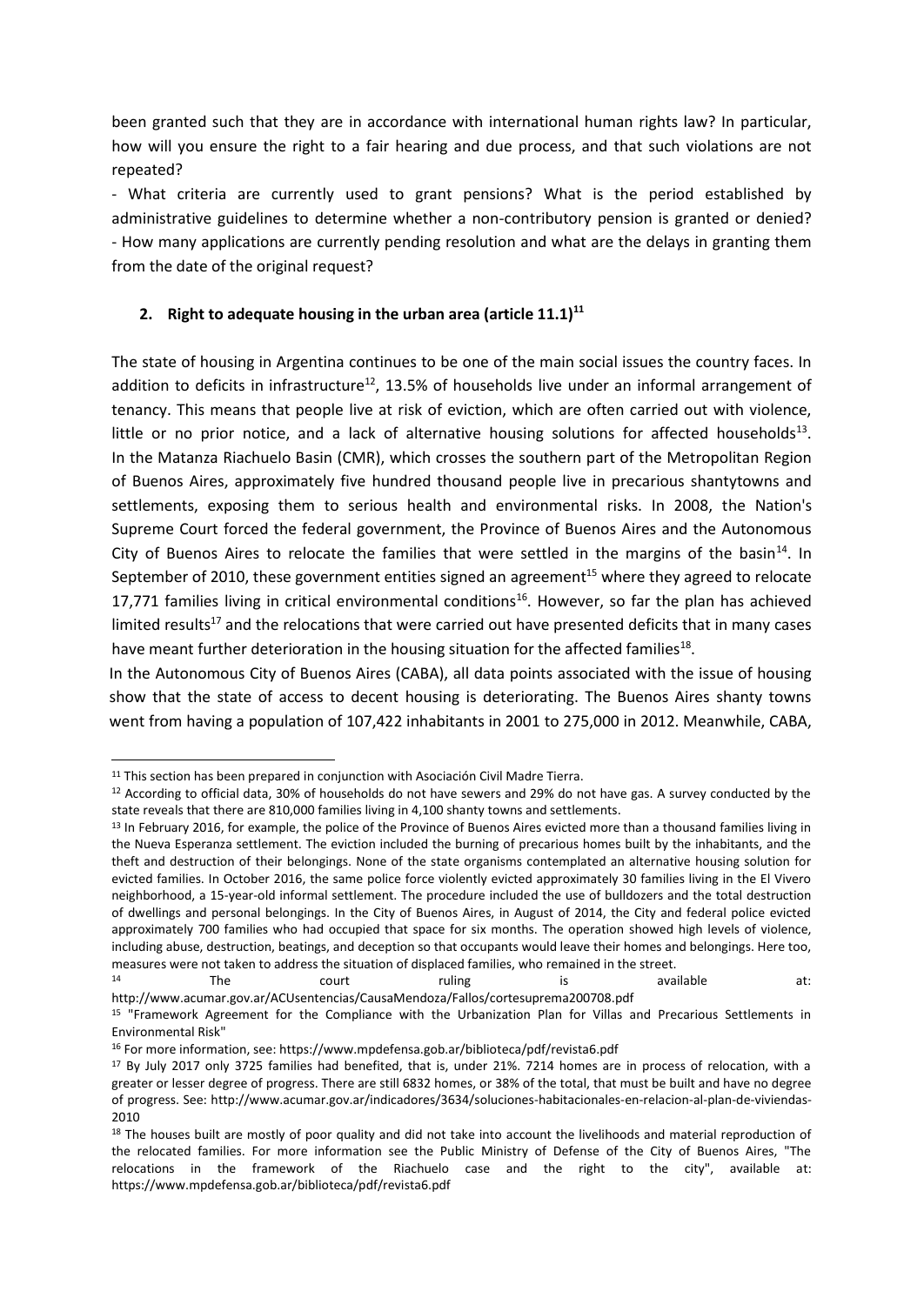been granted such that they are in accordance with international human rights law? In particular, how will you ensure the right to a fair hearing and due process, and that such violations are not repeated?

- What criteria are currently used to grant pensions? What is the period established by administrative guidelines to determine whether a non-contributory pension is granted or denied? - How many applications are currently pending resolution and what are the delays in granting them from the date of the original request?

# **2. Right to adequate housing in the urban area (article 11.1)<sup>11</sup>**

The state of housing in Argentina continues to be one of the main social issues the country faces. In addition to deficits in infrastructure<sup>12</sup>, 13.5% of households live under an informal arrangement of tenancy. This means that people live at risk of eviction, which are often carried out with violence, little or no prior notice, and a lack of alternative housing solutions for affected households<sup>13</sup>. In the Matanza Riachuelo Basin (CMR), which crosses the southern part of the Metropolitan Region of Buenos Aires, approximately five hundred thousand people live in precarious shantytowns and settlements, exposing them to serious health and environmental risks. In 2008, the Nation's Supreme Court forced the federal government, the Province of Buenos Aires and the Autonomous City of Buenos Aires to relocate the families that were settled in the margins of the basin<sup>14</sup>. In September of 2010, these government entities signed an agreement<sup>15</sup> where they agreed to relocate 17,771 families living in critical environmental conditions<sup>16</sup>. However, so far the plan has achieved limited results<sup>17</sup> and the relocations that were carried out have presented deficits that in many cases have meant further deterioration in the housing situation for the affected families<sup>18</sup>.

In the Autonomous City of Buenos Aires (CABA), all data points associated with the issue of housing show that the state of access to decent housing is deteriorating. The Buenos Aires shanty towns went from having a population of 107,422 inhabitants in 2001 to 275,000 in 2012. Meanwhile, CABA,

-

14 The court ruling is available at: http://www.acumar.gov.ar/ACUsentencias/CausaMendoza/Fallos/cortesuprema200708.pdf

 $11$  This section has been prepared in conjunction with Asociación Civil Madre Tierra.

<sup>&</sup>lt;sup>12</sup> According to official data, 30% of households do not have sewers and 29% do not have gas. A survey conducted by the state reveals that there are 810,000 families living in 4,100 shanty towns and settlements.

<sup>&</sup>lt;sup>13</sup> In February 2016, for example, the police of the Province of Buenos Aires evicted more than a thousand families living in the Nueva Esperanza settlement. The eviction included the burning of precarious homes built by the inhabitants, and the theft and destruction of their belongings. None of the state organisms contemplated an alternative housing solution for evicted families. In October 2016, the same police force violently evicted approximately 30 families living in the El Vivero neighborhood, a 15-year-old informal settlement. The procedure included the use of bulldozers and the total destruction of dwellings and personal belongings. In the City of Buenos Aires, in August of 2014, the City and federal police evicted approximately 700 families who had occupied that space for six months. The operation showed high levels of violence, including abuse, destruction, beatings, and deception so that occupants would leave their homes and belongings. Here too, measures were not taken to address the situation of displaced families, who remained in the street.<br>
The signal court specific street.

<sup>15</sup> "Framework Agreement for the Compliance with the Urbanization Plan for Villas and Precarious Settlements in Environmental Risk"

<sup>16</sup> For more information, see: https://www.mpdefensa.gob.ar/biblioteca/pdf/revista6.pdf

<sup>&</sup>lt;sup>17</sup> By July 2017 only 3725 families had benefited, that is, under 21%. 7214 homes are in process of relocation, with a greater or lesser degree of progress. There are still 6832 homes, or 38% of the total, that must be built and have no degree of progress. See: http://www.acumar.gov.ar/indicadores/3634/soluciones-habitacionales-en-relacion-al-plan-de-viviendas-2010

<sup>&</sup>lt;sup>18</sup> The houses built are mostly of poor quality and did not take into account the livelihoods and material reproduction of the relocated families. For more information see the Public Ministry of Defense of the City of Buenos Aires, "The relocations in the framework of the Riachuelo case and the right to the city", available at: https://www.mpdefensa.gob.ar/biblioteca/pdf/revista6.pdf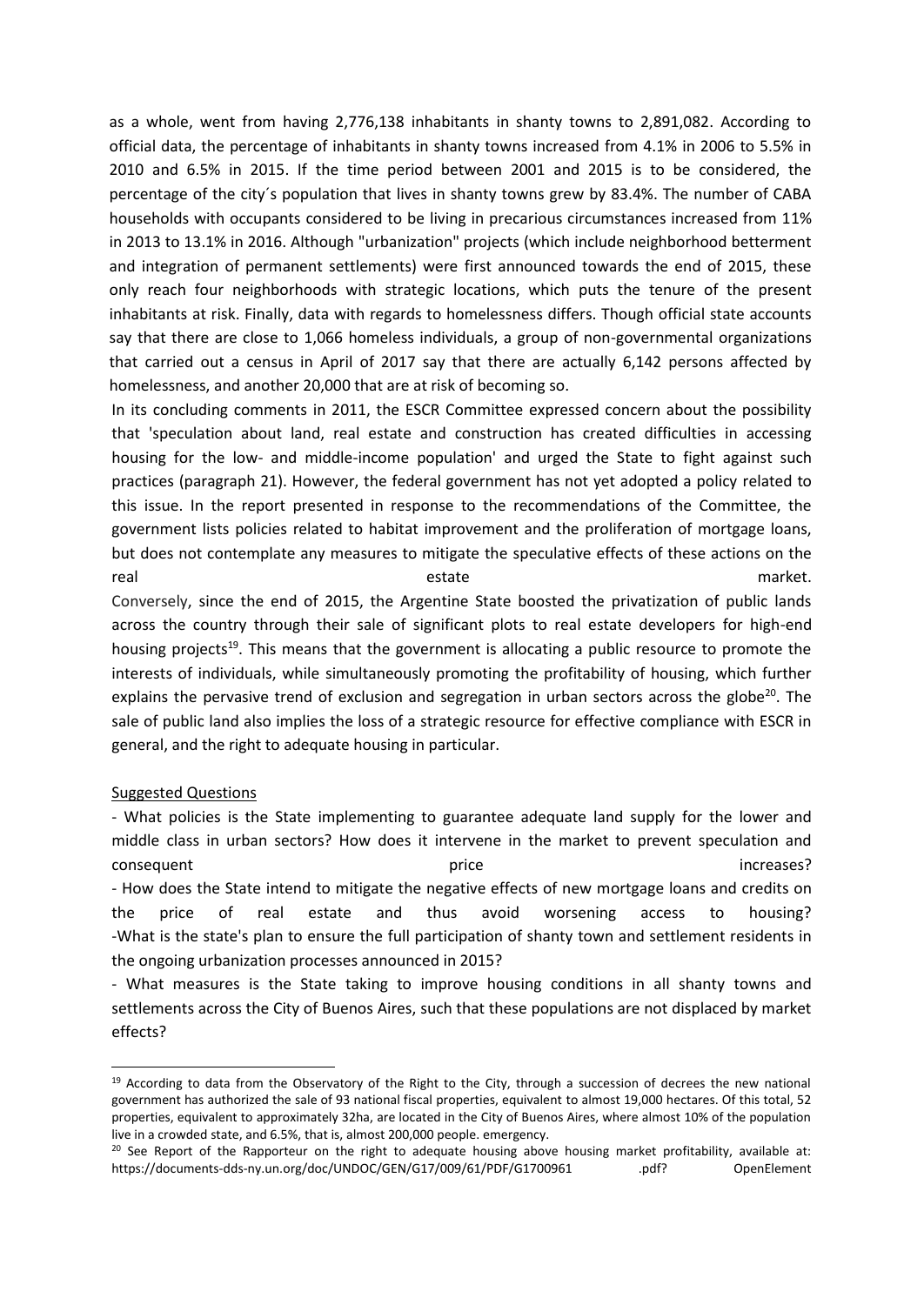as a whole, went from having 2,776,138 inhabitants in shanty towns to 2,891,082. According to official data, the percentage of inhabitants in shanty towns increased from 4.1% in 2006 to 5.5% in 2010 and 6.5% in 2015. If the time period between 2001 and 2015 is to be considered, the percentage of the city´s population that lives in shanty towns grew by 83.4%. The number of CABA households with occupants considered to be living in precarious circumstances increased from 11% in 2013 to 13.1% in 2016. Although "urbanization" projects (which include neighborhood betterment and integration of permanent settlements) were first announced towards the end of 2015, these only reach four neighborhoods with strategic locations, which puts the tenure of the present inhabitants at risk. Finally, data with regards to homelessness differs. Though official state accounts say that there are close to 1,066 homeless individuals, a group of non-governmental organizations that carried out a census in April of 2017 say that there are actually 6,142 persons affected by homelessness, and another 20,000 that are at risk of becoming so.

In its concluding comments in 2011, the ESCR Committee expressed concern about the possibility that 'speculation about land, real estate and construction has created difficulties in accessing housing for the low- and middle-income population' and urged the State to fight against such practices (paragraph 21). However, the federal government has not yet adopted a policy related to this issue. In the report presented in response to the recommendations of the Committee, the government lists policies related to habitat improvement and the proliferation of mortgage loans, but does not contemplate any measures to mitigate the speculative effects of these actions on the real estate estate estate market. Conversely, since the end of 2015, the Argentine State boosted the privatization of public lands

across the country through their sale of significant plots to real estate developers for high-end housing projects<sup>19</sup>. This means that the government is allocating a public resource to promote the interests of individuals, while simultaneously promoting the profitability of housing, which further explains the pervasive trend of exclusion and segregation in urban sectors across the globe $^{20}$ . The sale of public land also implies the loss of a strategic resource for effective compliance with ESCR in general, and the right to adequate housing in particular.

# Suggested Questions

-

- What policies is the State implementing to guarantee adequate land supply for the lower and middle class in urban sectors? How does it intervene in the market to prevent speculation and consequent examples are set of the price increases and the price increases? - How does the State intend to mitigate the negative effects of new mortgage loans and credits on the price of real estate and thus avoid worsening access to housing? -What is the state's plan to ensure the full participation of shanty town and settlement residents in the ongoing urbanization processes announced in 2015?

- What measures is the State taking to improve housing conditions in all shanty towns and settlements across the City of Buenos Aires, such that these populations are not displaced by market effects?

 $19$  According to data from the Observatory of the Right to the City, through a succession of decrees the new national government has authorized the sale of 93 national fiscal properties, equivalent to almost 19,000 hectares. Of this total, 52 properties, equivalent to approximately 32ha, are located in the City of Buenos Aires, where almost 10% of the population live in a crowded state, and 6.5%, that is, almost 200,000 people. emergency.

<sup>&</sup>lt;sup>20</sup> See Report of the Rapporteur on the right to adequate housing above housing market profitability, available at: https://documents-dds-ny.un.org/doc/UNDOC/GEN/G17/009/61/PDF/G1700961 .pdf? OpenElement